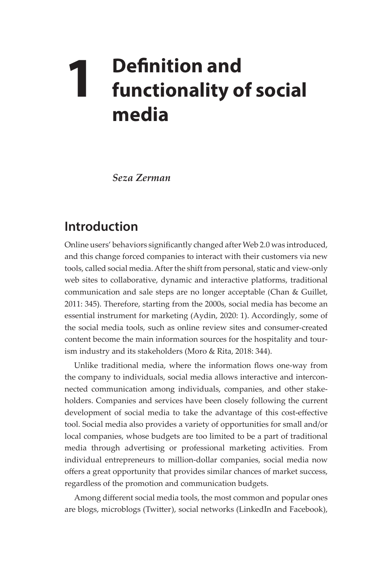## **1 Definition and functionality of social media**

*Seza Zerman* 

## **Introduction**

Online users' behaviors significantly changed after Web 2.0 was introduced, and this change forced companies to interact with their customers via new tools, called social media. After the shift from personal, static and view-only web sites to collaborative, dynamic and interactive platforms, traditional communication and sale steps are no longer acceptable (Chan & Guillet, 2011: 345). Therefore, starting from the 2000s, social media has become an essential instrument for marketing (Aydin, 2020: 1). Accordingly, some of the social media tools, such as online review sites and consumer-created content become the main information sources for the hospitality and tourism industry and its stakeholders (Moro & Rita, 2018: 344).

Unlike traditional media, where the information flows one-way from the company to individuals, social media allows interactive and interconnected communication among individuals, companies, and other stakeholders. Companies and services have been closely following the current development of social media to take the advantage of this cost-effective tool. Social media also provides a variety of opportunities for small and/or local companies, whose budgets are too limited to be a part of traditional media through advertising or professional marketing activities. From individual entrepreneurs to million-dollar companies, social media now offers a great opportunity that provides similar chances of market success, regardless of the promotion and communication budgets.

Among different social media tools, the most common and popular ones are blogs, microblogs (Twitter), social networks (LinkedIn and Facebook),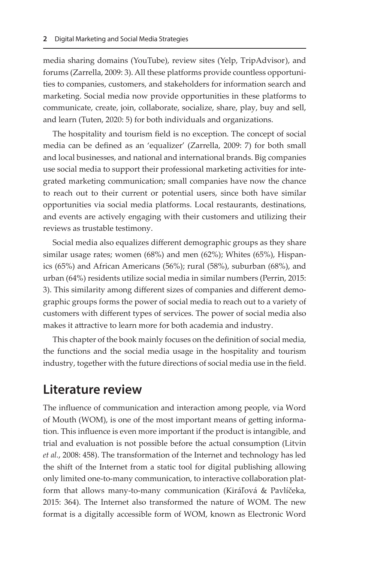media sharing domains (YouTube), review sites (Yelp, TripAdvisor), and forums (Zarrella, 2009: 3). All these platforms provide countless opportunities to companies, customers, and stakeholders for information search and marketing. Social media now provide opportunities in these platforms to communicate, create, join, collaborate, socialize, share, play, buy and sell, and learn (Tuten, 2020: 5) for both individuals and organizations.

The hospitality and tourism field is no exception. The concept of social media can be defined as an 'equalizer' (Zarrella, 2009: 7) for both small and local businesses, and national and international brands. Big companies use social media to support their professional marketing activities for integrated marketing communication; small companies have now the chance to reach out to their current or potential users, since both have similar opportunities via social media platforms. Local restaurants, destinations, and events are actively engaging with their customers and utilizing their reviews as trustable testimony.

Social media also equalizes different demographic groups as they share similar usage rates; women (68%) and men (62%); Whites (65%), Hispanics (65%) and African Americans (56%); rural (58%), suburban (68%), and urban (64%) residents utilize social media in similar numbers (Perrin, 2015: 3). This similarity among different sizes of companies and different demographic groups forms the power of social media to reach out to a variety of customers with different types of services. The power of social media also makes it attractive to learn more for both academia and industry.

This chapter of the book mainly focuses on the definition of social media, the functions and the social media usage in the hospitality and tourism industry, together with the future directions of social media use in the field.

## **Literature review**

The influence of communication and interaction among people, via Word of Mouth (WOM), is one of the most important means of getting information. This influence is even more important if the product is intangible, and trial and evaluation is not possible before the actual consumption (Litvin *et al.*, 2008: 458). The transformation of the Internet and technology has led the shift of the Internet from a static tool for digital publishing allowing only limited one-to-many communication, to interactive collaboration platform that allows many-to-many communication (Kiráľová & Pavlíčeka, 2015: 364). The Internet also transformed the nature of WOM. The new format is a digitally accessible form of WOM, known as Electronic Word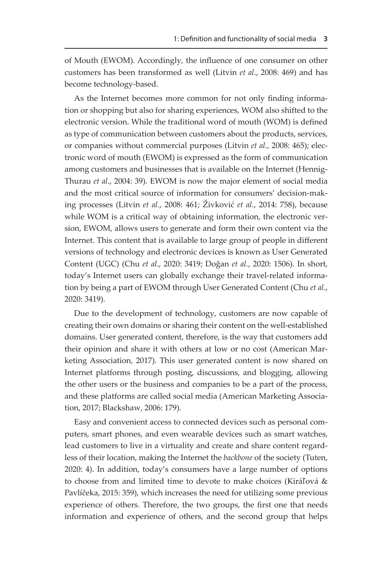of Mouth (EWOM). Accordingly, the influence of one consumer on other customers has been transformed as well (Litvin *et al*., 2008: 469) and has become technology-based.

As the Internet becomes more common for not only finding information or shopping but also for sharing experiences, WOM also shifted to the electronic version. While the traditional word of mouth (WOM) is defined as type of communication between customers about the products, services, or companies without commercial purposes (Litvin *et al.*, 2008: 465); electronic word of mouth (EWOM) is expressed as the form of communication among customers and businesses that is available on the Internet (Hennig-Thurau *et al*., 2004: 39). EWOM is now the major element of social media and the most critical source of information for consumers' decision-making processes (Litvin *et al.*, 2008: 461; Živković *et al*., 2014: 758), because while WOM is a critical way of obtaining information, the electronic version, EWOM, allows users to generate and form their own content via the Internet. This content that is available to large group of people in different versions of technology and electronic devices is known as User Generated Content (UGC) (Chu *et al*., 2020: 3419; Doğan *et al.*, 2020: 1506). In short, today's Internet users can globally exchange their travel-related information by being a part of EWOM through User Generated Content (Chu *et al.*, 2020: 3419).

Due to the development of technology, customers are now capable of creating their own domains or sharing their content on the well-established domains. User generated content, therefore, is the way that customers add their opinion and share it with others at low or no cost (American Marketing Association, 2017). This user generated content is now shared on Internet platforms through posting, discussions, and blogging, allowing the other users or the business and companies to be a part of the process, and these platforms are called social media (American Marketing Association, 2017; Blackshaw, 2006: 179).

Easy and convenient access to connected devices such as personal computers, smart phones, and even wearable devices such as smart watches, lead customers to live in a virtuality and create and share content regardless of their location, making the Internet the *backbone* of the society (Tuten, 2020: 4). In addition, today's consumers have a large number of options to choose from and limited time to devote to make choices (Kiráľová & Pavlíčeka, 2015: 359), which increases the need for utilizing some previous experience of others. Therefore, the two groups, the first one that needs information and experience of others, and the second group that helps